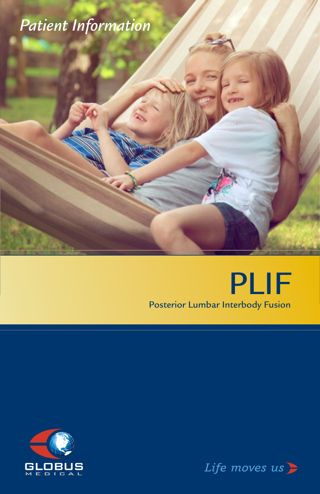# *Patient Information*

# PLIF Posterior Lumbar Interbody Fusion



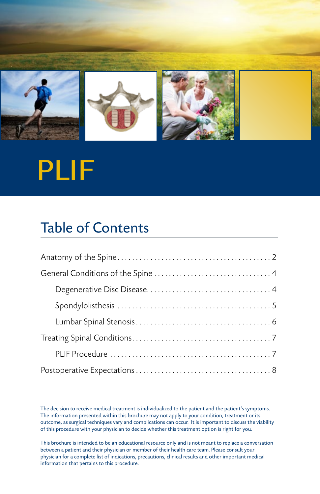

# PLIF

# Table of Contents

The decision to receive medical treatment is individualized to the patient and the patient's symptoms. The information presented within this brochure may not apply to your condition, treatment or its outcome, as surgical techniques vary and complications can occur. It is important to discuss the viability of this procedure with your physician to decide whether this treatment option is right for you.

This brochure is intended to be an educational resource only and is not meant to replace a conversation between a patient and their physician or member of their health care team. Please consult your physician for a complete list of indications, precautions, clinical results and other important medical information that pertains to this procedure.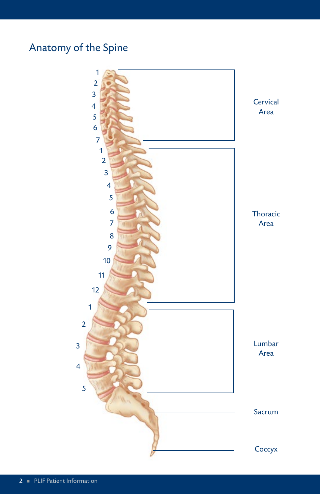# Anatomy of the Spine

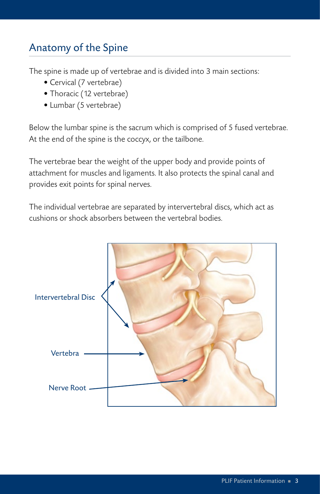# Anatomy of the Spine

The spine is made up of vertebrae and is divided into 3 main sections:

- Cervical (7 vertebrae)
- Thoracic (12 vertebrae)
- Lumbar (5 vertebrae)

Below the lumbar spine is the sacrum which is comprised of 5 fused vertebrae. At the end of the spine is the coccyx, or the tailbone.

The vertebrae bear the weight of the upper body and provide points of attachment for muscles and ligaments. It also protects the spinal canal and provides exit points for spinal nerves.

The individual vertebrae are separated by intervertebral discs, which act as cushions or shock absorbers between the vertebral bodies.

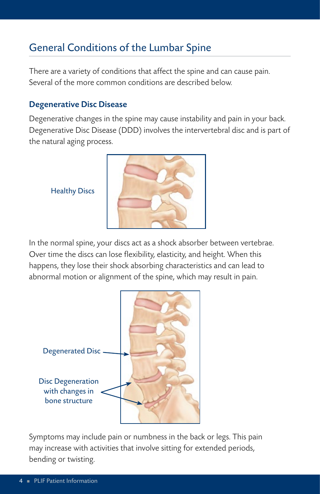# General Conditions of the Lumbar Spine

There are a variety of conditions that affect the spine and can cause pain. Several of the more common conditions are described below.

#### Degenerative Disc Disease

Degenerative changes in the spine may cause instability and pain in your back. Degenerative Disc Disease (DDD) involves the intervertebral disc and is part of the natural aging process.

Healthy Discs



In the normal spine, your discs act as a shock absorber between vertebrae. Over time the discs can lose flexibility, elasticity, and height. When this happens, they lose their shock absorbing characteristics and can lead to abnormal motion or alignment of the spine, which may result in pain.



Symptoms may include pain or numbness in the back or legs. This pain may increase with activities that involve sitting for extended periods, bending or twisting.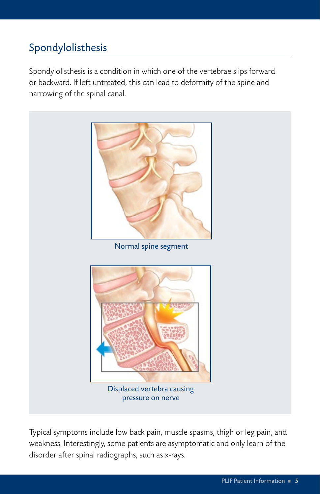# Spondylolisthesis

Spondylolisthesis is a condition in which one of the vertebrae slips forward or backward. If left untreated, this can lead to deformity of the spine and narrowing of the spinal canal.



Normal spine segment



pressure on nerve

Typical symptoms include low back pain, muscle spasms, thigh or leg pain, and weakness. Interestingly, some patients are asymptomatic and only learn of the disorder after spinal radiographs, such as x-rays.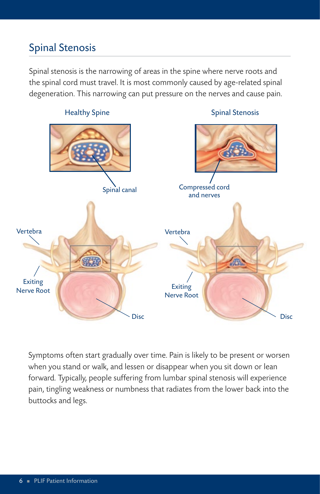# Spinal Stenosis

Spinal stenosis is the narrowing of areas in the spine where nerve roots and the spinal cord must travel. It is most commonly caused by age-related spinal degeneration. This narrowing can put pressure on the nerves and cause pain.



Symptoms often start gradually over time. Pain is likely to be present or worsen when you stand or walk, and lessen or disappear when you sit down or lean forward. Typically, people suffering from lumbar spinal stenosis will experience pain, tingling weakness or numbness that radiates from the lower back into the buttocks and legs.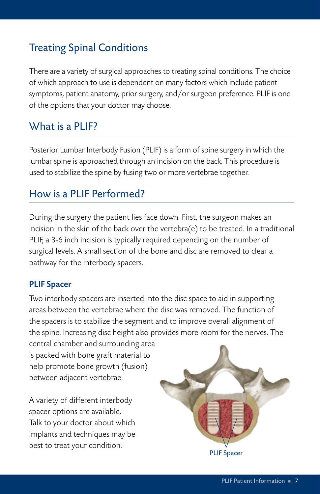# Treating Spinal Conditions

There are a variety of surgical approaches to treating spinal conditions. The choice of which approach to use is dependent on many factors which include patient symptoms, patient anatomy, prior surgery, and/or surgeon preference. PLIF is one of the options that your doctor may choose.

# What is a PLIF?

Posterior Lumbar Interbody Fusion (PLIF) is a form of spine surgery in which the lumbar spine is approached through an incision on the back. This procedure is used to stabilize the spine by fusing two or more vertebrae together.

## How is a PLIF Performed?

During the surgery the patient lies face down. First, the surgeon makes an incision in the skin of the back over the vertebra(e) to be treated. In a traditional PLIF, a 3-6 inch incision is typically required depending on the number of surgical levels. A small section of the bone and disc are removed to clear a pathway for the interbody spacers.

#### PLIF Spacer

Two interbody spacers are inserted into the disc space to aid in supporting areas between the vertebrae where the disc was removed. The function of the spacers is to stabilize the segment and to improve overall alignment of the spine. Increasing disc height also provides more room for the nerves. The

central chamber and surrounding area is packed with bone graft material to help promote bone growth (fusion) between adjacent vertebrae.

A variety of different interbody spacer options are available. Talk to your doctor about which implants and techniques may be

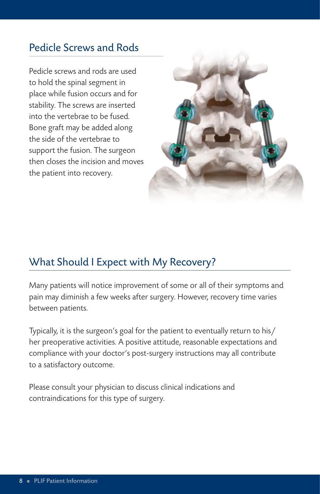#### Pedicle Screws and Rods

Pedicle screws and rods are used to hold the spinal segment in place while fusion occurs and for stability. The screws are inserted into the vertebrae to be fused. Bone graft may be added along the side of the vertebrae to support the fusion. The surgeon then closes the incision and moves the patient into recovery.



## What Should I Expect with My Recovery?

Many patients will notice improvement of some or all of their symptoms and pain may diminish a few weeks after surgery. However, recovery time varies between patients.

Typically, it is the surgeon's goal for the patient to eventually return to his/ her preoperative activities. A positive attitude, reasonable expectations and compliance with your doctor's post-surgery instructions may all contribute to a satisfactory outcome.

Please consult your physician to discuss clinical indications and contraindications for this type of surgery.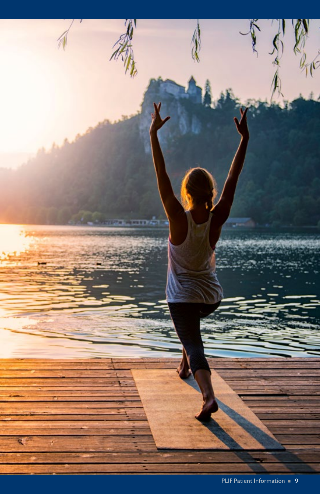